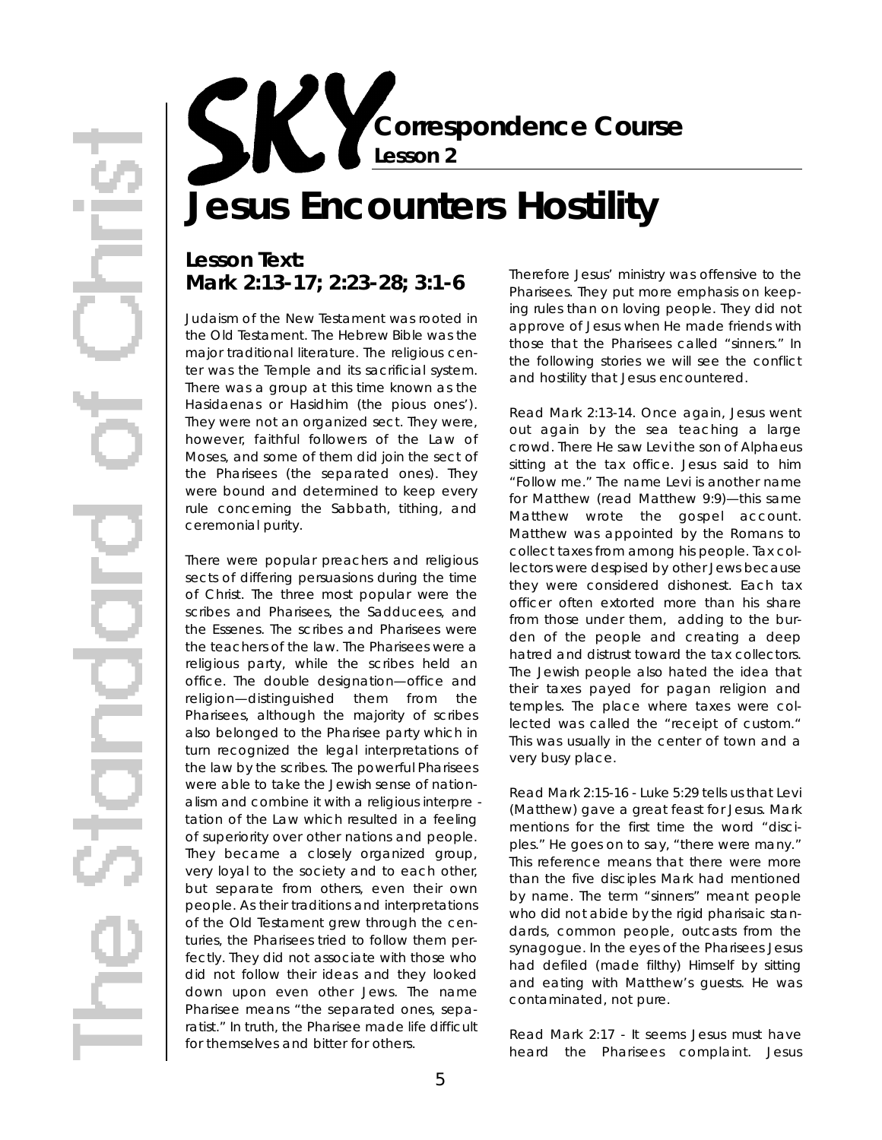**Correspondence Course Lesson 2**

# **Jesus Encounters Hostility**

## **Lesson Text: Mark 2:13-17; 2:23-28; 3:1-6**

Judaism of the New Testament was rooted in the Old Testament. The Hebrew Bible was the major traditional literature. The religious center was the Temple and its sacrificial system. There was a group at this time known as the Hasidaenas or Hasidhim (the pious ones'). They were not an organized sect. They were, however, faithful followers of the Law of Moses, and some of them did join the sect of the Pharisees (the separated ones). They were bound and determined to keep every rule concerning the Sabbath, tithing, and ceremonial purity.

There were popular preachers and religious sects of differing persuasions during the time of Christ. The three most popular were the scribes and Pharisees, the Sadducees, and the Essenes. The scribes and Pharisees were the teachers of the law. The Pharisees were a religious party, while the scribes held an office. The double designation-office and religion—distinguished them from the Pharisees, although the majority of scribes also belonged to the Pharisee party which in turn recognized the legal interpretations of the law by the scribes. The powerful Pharisees were able to take the Jewish sense of nationalism and combine it with a religious *interpre tation* of the Law which resulted in a feeling of superiority over other nations and people. They became a closely organized group, very loyal to the society and to each other, but separate from others, even their own people. As their traditions and interpretations of the Old Testament grew through the centuries, the Pharisees tried to follow them perfectly. They did not associate with those who did not follow their ideas and they looked down upon even other Jews. The name Pharisee means "the separated ones, separatist." In truth, the Pharisee made life difficult for themselves and bitter for others.

Therefore Jesus' ministry was offensive to the Pharisees. They put more emphasis on keeping rules than on loving people. They did not approve of Jesus when He made friends with those that the Pharisees called "sinners." In the following stories we will see the conflict and hostility that Jesus encountered.

*Read Mark 2:13-14.* Once again, Jesus went out again by the sea teaching a large crowd. There He saw Levi the son of Alphaeus sitting at the tax office. Jesus said to him "Follow me." The name Levi is another name for Matthew (read Matthew 9:9)—this same Matthew wrote the gospel account. Matthew was appointed by the Romans to collect taxes from among his people. Tax collectors were despised by other Jews because they were considered dishonest. Each tax officer often extorted more than his share from those under them, adding to the burden of the people and creating a deep hatred and distrust toward the tax collectors. The Jewish people also hated the idea that their taxes payed for pagan religion and temples. The place where taxes were collected was called the "receipt of custom." This was usually in the center of town and a very busy place.

*Read Mark 2:15-16* - Luke 5:29 tells us that Levi (Matthew) gave a great feast for Jesus. Mark mentions for the first time the word "disciples." He goes on to say, "there were many." This reference means that there were more than the five disciples Mark had mentioned by name. The term "sinners" meant people who did not abide by the rigid pharisaic standards, common people, outcasts from the synagogue. In the eyes of the Pharisees Jesus had defiled (made filthy) Himself by sitting and eating with Matthew's guests. He was contaminated, not pure .

*Read Mark 2:17 -* It seems Jesus must have heard the Pharisees complaint. Jesus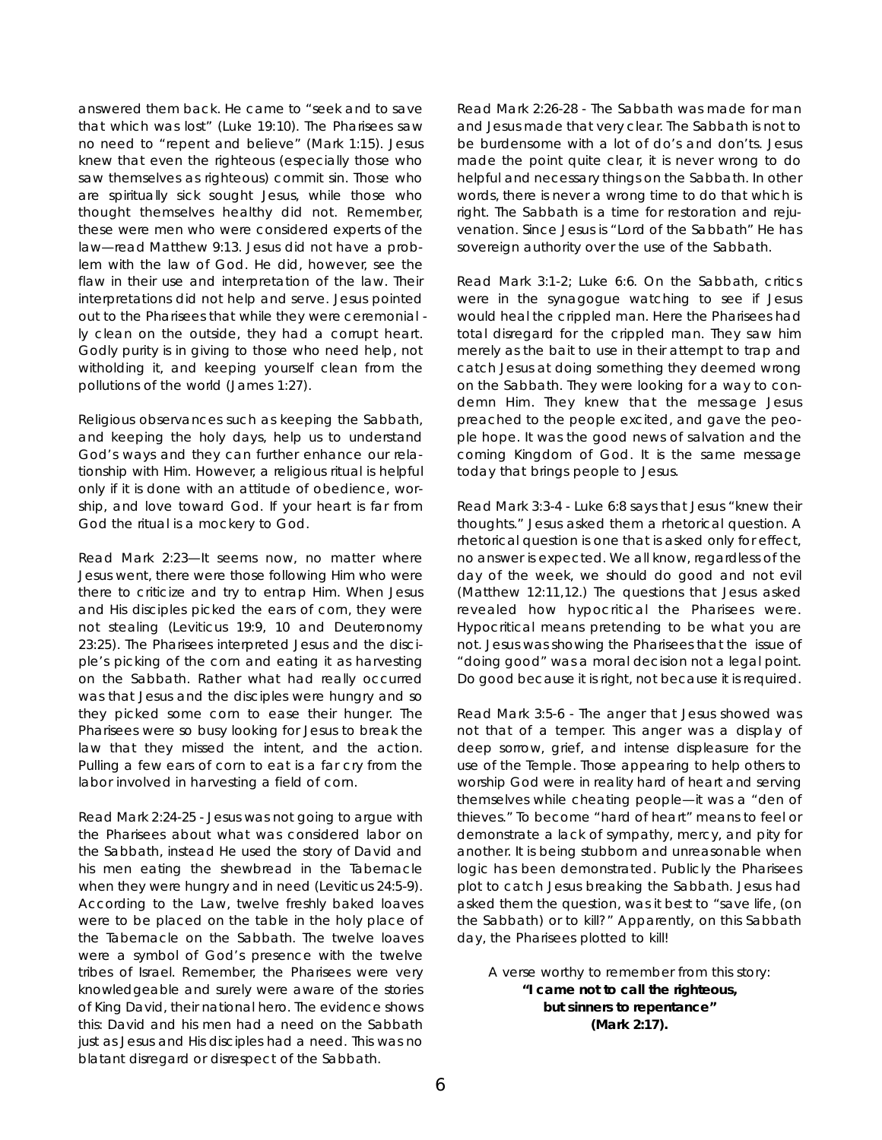answered them back. He came to "seek and to save that which was lost" (Luke 19:10). The Pharisees saw no need to "repent and believe" (Mark 1:15). Jesus knew that even the righteous (especially those who saw themselves as righteous) commit sin. Those who are spiritually sick sought Jesus, while those who thought themselves healthy did not. Remember, these were men who were considered *experts* of the law-read Matthew 9:13. Jesus did not have a problem with the law of God. He did, however, see the flaw in *their* use and interpretation of the law. Their interpretations did not help and serve. Jesus pointed out to the Pharisees that while they were *ceremonial* -/y clean on the outside, they had a corrupt heart. Godly purity is in giving to those who need help, not witholding it, and keeping yourself clean from the pollutions of the world (James 1:27).

Religious observances such as keeping the Sabbath, and keeping the holy days, help us to understand God's ways and they can further enhance our relationship with Him. However, a religious ritual is helpful on/y if it is done with an attitude of obedience, worship, and love toward God. If your heart is far from God the ritual is a mockery to God.

*Read Mark 2:23*—It seems now, no matter where Jesus went, there were those following Him who were there to criticize and try to entrap Him. When Jesus and His disciples picked the ears of corn, they were not stealing (Leviticus 19:9, 10 and Deuteronomy 23:25). The Pharisees interpreted Jesus and the disciple's picking of the corn and eating it as harvesting on the Sabbath. Rather what had really occurred was that Jesus and the disciples were hungry and so they picked some corn to ease their hunger. The Pharisees were so busy looking for Jesus to break the law that they missed the intent, and the action. Pulling a few ears of corn to eat is a far cry from the labor involved in harvesting a field of corn.

*Read Mark 2:24-25* - Jesus was not going to argue with the Pharisees about what was considered labor on the Sabbath, instead He used the story of David and his men eating the shewbread in the Tabernacle when they were hungry and in need (Leviticus 24:5-9). According to the Law, twelve freshly baked loaves were to be placed on the table in the holy place of the Tabernacle on the Sabbath. The twelve loaves were a symbol of God's presence with the twelve tribes of Israel. Remember, the Pharisees were very knowledgeable and surely were aware of the stories of King David, their national hero. The evidence shows this: David and his men had a need on the Sabbath just as Jesus and His disciples had a need. This was no blatant disregard or disrespect of the Sabbath.

*Read Mark 2:26-28* - The Sabbath was made for man and Jesus made that very clear. The Sabbath is not to be burdensome with a lot of do's and don'ts. Jesus made the point quite clear, it is never wrong to do helpful and necessary things on the Sabbath. In other words, there is never a wrong time to do that which is right. The Sabbath is a time for restoration and rejuvenation. Since Jesus is "Lord of the Sabbath" He has sovereign authority over the use of the Sabbath.

*Read Mark 3:1-2; Luke 6:6.* On the Sabbath, critics were in the synagogue watching to see if Jesus would heal the crippled man. Here the Pharisees had total disregard for the crippled man. They saw him merely as the bait to use in their attempt to trap and catch Jesus at doing something they deemed wrong on the Sabbath. They were looking for a way to condemn Him. They knew that the message Jesus preached to the people excited, and gave the people hope. It was the good news of salvation and the coming Kingdom of God. It is the same message today that brings people to Jesus.

*Read Mark 3:3-4* - Luke 6:8 says that Jesus "knew their thoughts." Jesus asked them a rhetorical question. A rhetorical question is one that is asked only for effect, no answer is expected. We all know, regardless of the day of the week, we should do good and not evil (Matthew 12:11,12.) The questions that Jesus asked revealed how hypocritical the Pharisees were. Hypocritical means pretending to be what you are not. Jesus was showing the Pharisees that the issue of "doing good" was a moral decision not a legal point. Do good because it is right, not because it is required.

*Read Mark 3:5-6* - The anger that Jesus showed was not that of a temper. This anger was a display of deep sorrow, grief, and intense displeasure for the use of the Temple. Those appearing to help others to worship God were in reality hard of heart and serving themselves while cheating people—it was a "den of thieves." To become "hard of heart" means to feel or demonstrate a lack of sympathy, mercy, and pity for another. It is being stubborn and unreasonable when logic has been demonstrated. Publicly the Pharisees plot to catch Jesus breaking the Sabbath. Jesus had asked them the question, was it best to "save life, (on the Sabbath) or to kill?" Apparently, on this Sabbath day, the Pharisees plotted to kill!

*A verse worthy to remember from this story:*  **"I came not to call the righteous, but sinners to repentance" (Mark 2:17).**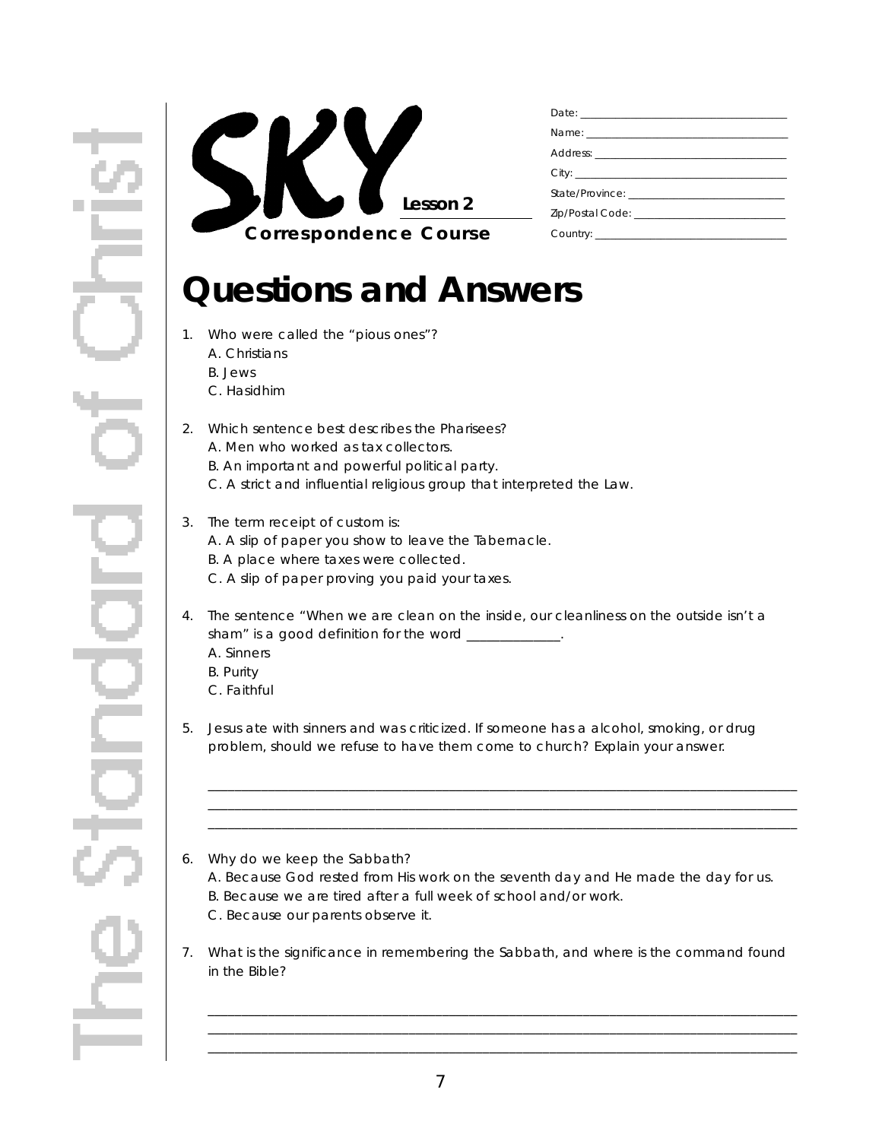

## **Questions and Answers**

- 1. Who were called the "pious ones"?
	- A. Christians
	- B. Jews
	- C. Hasidhim
- 2. Which sentence best describes the Pharisees? A. Men who worked as tax collectors. B. An important and powerful political party. C. A strict and influential religious group that interpreted the Law.

#### 3. The term receipt of custom is:

- A. A slip of paper you show to leave the Tabernacle.
- B. A place where taxes were collected.
- C. A slip of paper proving you paid your taxes.
- 4. The sentence "When we are clean on the inside, our cleanliness on the outside isn't a sham" is a good definition for the word \_\_\_\_\_\_\_\_\_\_\_\_\_. A. Sinners B. Purity
	- C. Faithful
	-
- 5. Jesus ate with sinners and was criticized. If someone has a alcohol, smoking, or drug problem, should we refuse to have them come to church? Explain your answer.

\_ \_ \_ \_ \_ \_ \_ \_ \_ \_ \_ \_ \_ \_ \_ \_ \_ \_ \_ \_ \_ \_ \_ \_ \_ \_ \_ \_ \_ \_ \_ \_ \_ \_ \_ \_ \_ \_ \_ \_ \_ \_ \_ \_ \_ \_ \_ \_ \_ \_ \_ \_ \_ \_ \_ \_ \_ \_ \_ \_ \_ \_ \_ \_ \_ \_ \_ \_ \_ \_ \_ \_ \_ \_ \_ \_ \_ \_ \_ \_ \_ \_ \_ \_ \_ \_ \_ \_ \_ \_ \_ \_ \_ \_ \_ \_ \_ \_ \_ \_ \_ \_ \_ \_ \_ \_ \_ \_ \_ \_ \_ \_ \_ \_ \_ \_ \_ \_ \_ \_ \_ \_ \_ \_ \_ \_ \_ \_ \_ \_ \_ \_ \_ \_ \_ \_ \_ \_ \_ \_ \_ \_ \_ \_ \_ \_ \_ \_ \_ \_ \_ \_ \_ \_ \_ \_ \_ \_ \_ \_ \_ \_ \_ \_ \_ \_ \_ \_ \_ \_ \_ \_ \_ \_ \_ \_ \_\_\_\_\_\_\_\_\_\_\_\_\_\_\_\_\_\_\_\_\_\_\_\_\_\_\_\_\_\_\_\_\_\_\_\_\_\_\_\_\_\_\_\_\_\_\_\_\_\_\_\_\_\_\_\_\_\_\_\_\_\_\_\_\_\_\_\_\_\_\_\_\_\_\_\_\_\_\_\_\_\_\_\_\_\_\_\_

- 6. Why do we keep the Sabbath? A. Because God rested from His work on the seventh day and He made the day for us. B. Because we are tired after a full week of school and/or work. C. Because our parents observe it.
- 7. What is the significance in remembering the Sabbath, and where is the command found in the Bible?

\_ \_ \_ \_ \_ \_ \_ \_ \_ \_ \_ \_ \_ \_ \_ \_ \_ \_ \_ \_ \_ \_ \_ \_ \_ \_ \_ \_ \_ \_ \_ \_ \_ \_ \_ \_ \_ \_ \_ \_ \_ \_ \_ \_ \_ \_ \_ \_ \_ \_ \_ \_ \_ \_ \_ \_ \_ \_ \_ \_ \_ \_ \_ \_ \_ \_ \_ \_ \_ \_ \_ \_ \_ \_ \_ \_ \_ \_ \_ \_ \_ \_ \_ \_ \_ \_ \_ \_ \_ \_ \_ \_ \_ \_ \_ \_ \_ \_ \_ \_ \_ \_ \_ \_ \_ \_ \_ \_ \_ \_ \_ \_ \_ \_ \_ \_ \_ \_ \_ \_ \_ \_ \_ \_ \_ \_ \_ \_ \_ \_ \_ \_ \_ \_ \_ \_ \_ \_ \_ \_ \_ \_ \_ \_ \_ \_ \_ \_ \_ \_ \_ \_ \_ \_ \_ \_ \_ \_ \_ \_ \_ \_ \_ \_ \_ \_ \_ \_ \_ \_ \_ \_ \_ \_ \_ \_ \_ \_ \_ \_ \_ \_ \_ \_ \_ \_ \_ \_ \_ \_ \_ \_ \_ \_ \_ \_ \_ \_ \_ \_ \_ \_ \_ \_ \_ \_ \_ \_ \_ \_ \_ \_ \_ \_ \_ \_ \_ \_ \_ \_ \_ \_ \_ \_ \_ \_ \_ \_ \_ \_ \_ \_ \_ \_ \_ \_ \_ \_ \_ \_ \_ \_ \_ \_ \_ \_ \_ \_ \_ \_ \_ \_ \_ \_ \_ \_ \_ \_ \_ \_ \_ \_ \_ \_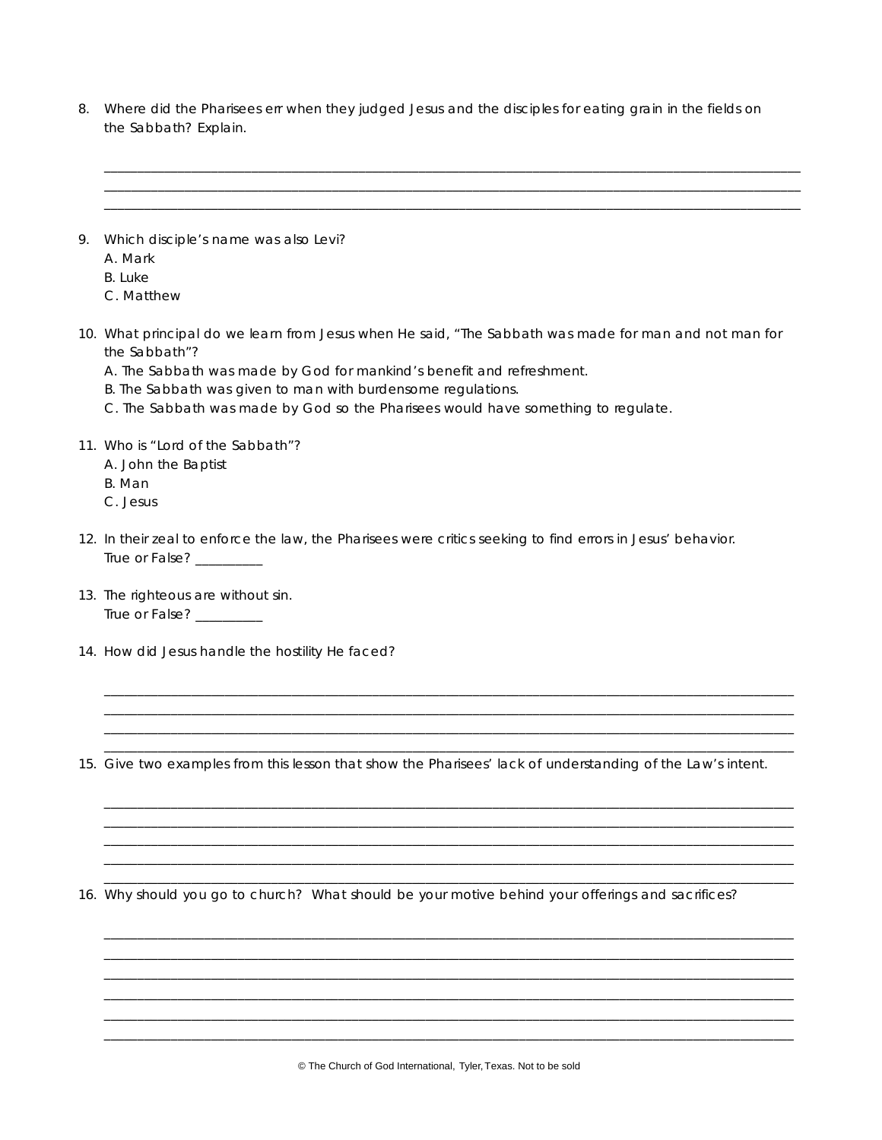8. Where did the Pharisees err when they judged Jesus and the disciples for eating grain in the fields on the Sabbath? Explain.

\_ \_ \_ \_ \_ \_ \_ \_ \_ \_ \_ \_ \_ \_ \_ \_ \_ \_ \_ \_ \_ \_ \_ \_ \_ \_ \_ \_ \_ \_ \_ \_ \_ \_ \_ \_ \_ \_ \_ \_ \_ \_ \_ \_ \_ \_ \_ \_ \_ \_ \_ \_ \_ \_ \_ \_ \_ \_ \_ \_ \_ \_ \_ \_ \_ \_ \_ \_ \_ \_ \_ \_ \_ \_ \_ \_ \_ \_ \_ \_ \_ \_ \_ \_ \_ \_ \_ \_ \_ \_ \_ \_ \_ \_ \_ \_ \_ \_ \_ \_ \_ \_ \_ \_ \_ \_ \_ \_ \_ \_ \_ \_ \_ \_ \_ \_ \_ \_ \_ \_ \_ \_ \_ \_ \_ \_ \_ \_ \_ \_ \_ \_ \_ \_ \_ \_ \_ \_ \_ \_ \_ \_ \_ \_ \_ \_ \_ \_ \_ \_ \_ \_ \_ \_ \_ \_ \_ \_ \_ \_ \_ \_ \_ \_ \_ \_ \_ \_ \_ \_ \_ \_ \_ \_ \_ \_ \_ \_ \_ \_ \_ \_ \_ \_ \_ \_ \_ \_ \_ \_ \_ \_ \_ \_ \_ \_ \_ \_ \_ \_ \_ \_ \_ \_ \_ \_ \_ \_ \_ \_ \_ \_ \_ \_ \_ \_ \_ \_ \_ \_ \_ \_ \_ \_ \_ \_ \_ \_ \_ \_ \_ \_ \_ \_ \_ \_ \_ \_ \_ \_ \_ \_ \_ \_ \_ \_ \_ \_ \_ \_ \_ \_ \_ \_ \_ \_ \_ \_ \_ \_ \_ \_ \_ \_ \_ \_ \_ \_ \_ \_ \_ \_ \_ \_ \_ \_ \_ \_ \_ \_ \_ \_ \_ \_ \_ \_ \_ \_ \_ \_ \_ \_ \_ \_ \_ \_ \_ \_ \_ \_ \_ \_ \_ \_ \_ \_ \_ \_ \_ \_ \_ \_ 9. Which disciple's name was also Levi? A. Mark B. Luke C. Matthew 10. What principal do we learn from Jesus when He said, "The Sabbath was made for man and not man for the Sabbath"? A. The Sabbath was made by God for mankind's benefit and refreshment. B. The Sabbath was given to man with burdensome regulations. C. The Sabbath was made by God so the Pharisees would have something to regulate. 11. Who is "Lord of the Sabbath"? A. John the Baptist B. Man C. Jesus 12. In their zeal to enforce the law, the Pharisees were critics seeking to find errors in Jesus' behavior. True or False? 13. The righteous are without sin. True or False? \_\_\_\_\_\_\_\_\_\_ 14. How did Jesus handle the hostility He faced? \_\_\_\_\_\_\_\_\_\_\_\_\_\_\_\_\_\_\_\_\_\_\_\_\_\_\_\_\_\_\_\_\_\_\_\_\_\_\_\_\_\_\_\_\_\_\_\_\_\_\_\_\_\_\_\_\_\_\_\_\_\_\_\_\_\_\_\_\_\_\_\_\_\_\_\_\_\_\_\_\_\_\_\_\_\_\_\_\_\_\_\_\_\_\_\_\_\_\_\_\_\_\_ \_\_\_\_\_\_\_\_\_\_\_\_\_\_\_\_\_\_\_\_\_\_\_\_\_\_\_\_\_\_\_\_\_\_\_\_\_\_\_\_\_\_\_\_\_\_\_\_\_\_\_\_\_\_\_\_\_\_\_\_\_\_\_\_\_\_\_\_\_\_\_\_\_\_\_\_\_\_\_\_\_\_\_\_\_\_\_\_\_\_\_\_\_\_\_\_\_\_\_\_\_\_\_ \_\_\_\_\_\_\_\_\_\_\_\_\_\_\_\_\_\_\_\_\_\_\_\_\_\_\_\_\_\_\_\_\_\_\_\_\_\_\_\_\_\_\_\_\_\_\_\_\_\_\_\_\_\_\_\_\_\_\_\_\_\_\_\_\_\_\_\_\_\_\_\_\_\_\_\_\_\_\_\_\_\_\_\_\_\_\_\_\_\_\_\_\_\_\_\_\_\_\_\_\_\_\_ \_\_\_\_\_\_\_\_\_\_\_\_\_\_\_\_\_\_\_\_\_\_\_\_\_\_\_\_\_\_\_\_\_\_\_\_\_\_\_\_\_\_\_\_\_\_\_\_\_\_\_\_\_\_\_\_\_\_\_\_\_\_\_\_\_\_\_\_\_\_\_\_\_\_\_\_\_\_\_\_\_\_\_\_\_\_\_\_\_\_\_\_\_\_\_\_\_\_\_\_\_\_\_ 15. Give two examples from this lesson that show the Pharisees' lack of understanding of the Law's intent. \_\_\_\_\_\_\_\_\_\_\_\_\_\_\_\_\_\_\_\_\_\_\_\_\_\_\_\_\_\_\_\_\_\_\_\_\_\_\_\_\_\_\_\_\_\_\_\_\_\_\_\_\_\_\_\_\_\_\_\_\_\_\_\_\_\_\_\_\_\_\_\_\_\_\_\_\_\_\_\_\_\_\_\_\_\_\_\_\_\_\_\_\_\_\_\_\_\_\_\_\_\_\_ \_\_\_\_\_\_\_\_\_\_\_\_\_\_\_\_\_\_\_\_\_\_\_\_\_\_\_\_\_\_\_\_\_\_\_\_\_\_\_\_\_\_\_\_\_\_\_\_\_\_\_\_\_\_\_\_\_\_\_\_\_\_\_\_\_\_\_\_\_\_\_\_\_\_\_\_\_\_\_\_\_\_\_\_\_\_\_\_\_\_\_\_\_\_\_\_\_\_\_\_\_\_\_ \_\_\_\_\_\_\_\_\_\_\_\_\_\_\_\_\_\_\_\_\_\_\_\_\_\_\_\_\_\_\_\_\_\_\_\_\_\_\_\_\_\_\_\_\_\_\_\_\_\_\_\_\_\_\_\_\_\_\_\_\_\_\_\_\_\_\_\_\_\_\_\_\_\_\_\_\_\_\_\_\_\_\_\_\_\_\_\_\_\_\_\_\_\_\_\_\_\_\_\_\_\_\_ \_\_\_\_\_\_\_\_\_\_\_\_\_\_\_\_\_\_\_\_\_\_\_\_\_\_\_\_\_\_\_\_\_\_\_\_\_\_\_\_\_\_\_\_\_\_\_\_\_\_\_\_\_\_\_\_\_\_\_\_\_\_\_\_\_\_\_\_\_\_\_\_\_\_\_\_\_\_\_\_\_\_\_\_\_\_\_\_\_\_\_\_\_\_\_\_\_\_\_\_\_\_\_ \_\_\_\_\_\_\_\_\_\_\_\_\_\_\_\_\_\_\_\_\_\_\_\_\_\_\_\_\_\_\_\_\_\_\_\_\_\_\_\_\_\_\_\_\_\_\_\_\_\_\_\_\_\_\_\_\_\_\_\_\_\_\_\_\_\_\_\_\_\_\_\_\_\_\_\_\_\_\_\_\_\_\_\_\_\_\_\_\_\_\_\_\_\_\_\_\_\_\_\_\_\_\_ 16. Why should you go to church? What should be your motive behind *your* offerings and sacrifices?

\_\_\_\_\_\_\_\_\_\_\_\_\_\_\_\_\_\_\_\_\_\_\_\_\_\_\_\_\_\_\_\_\_\_\_\_\_\_\_\_\_\_\_\_\_\_\_\_\_\_\_\_\_\_\_\_\_\_\_\_\_\_\_\_\_\_\_\_\_\_\_\_\_\_\_\_\_\_\_\_\_\_\_\_\_\_\_\_\_\_\_\_\_\_\_\_\_\_\_\_\_\_\_ \_\_\_\_\_\_\_\_\_\_\_\_\_\_\_\_\_\_\_\_\_\_\_\_\_\_\_\_\_\_\_\_\_\_\_\_\_\_\_\_\_\_\_\_\_\_\_\_\_\_\_\_\_\_\_\_\_\_\_\_\_\_\_\_\_\_\_\_\_\_\_\_\_\_\_\_\_\_\_\_\_\_\_\_\_\_\_\_\_\_\_\_\_\_\_\_\_\_\_\_\_\_\_ \_\_\_\_\_\_\_\_\_\_\_\_\_\_\_\_\_\_\_\_\_\_\_\_\_\_\_\_\_\_\_\_\_\_\_\_\_\_\_\_\_\_\_\_\_\_\_\_\_\_\_\_\_\_\_\_\_\_\_\_\_\_\_\_\_\_\_\_\_\_\_\_\_\_\_\_\_\_\_\_\_\_\_\_\_\_\_\_\_\_\_\_\_\_\_\_\_\_\_\_\_\_\_ \_\_\_\_\_\_\_\_\_\_\_\_\_\_\_\_\_\_\_\_\_\_\_\_\_\_\_\_\_\_\_\_\_\_\_\_\_\_\_\_\_\_\_\_\_\_\_\_\_\_\_\_\_\_\_\_\_\_\_\_\_\_\_\_\_\_\_\_\_\_\_\_\_\_\_\_\_\_\_\_\_\_\_\_\_\_\_\_\_\_\_\_\_\_\_\_\_\_\_\_\_\_\_ \_\_\_\_\_\_\_\_\_\_\_\_\_\_\_\_\_\_\_\_\_\_\_\_\_\_\_\_\_\_\_\_\_\_\_\_\_\_\_\_\_\_\_\_\_\_\_\_\_\_\_\_\_\_\_\_\_\_\_\_\_\_\_\_\_\_\_\_\_\_\_\_\_\_\_\_\_\_\_\_\_\_\_\_\_\_\_\_\_\_\_\_\_\_\_\_\_\_\_\_\_\_\_ \_\_\_\_\_\_\_\_\_\_\_\_\_\_\_\_\_\_\_\_\_\_\_\_\_\_\_\_\_\_\_\_\_\_\_\_\_\_\_\_\_\_\_\_\_\_\_\_\_\_\_\_\_\_\_\_\_\_\_\_\_\_\_\_\_\_\_\_\_\_\_\_\_\_\_\_\_\_\_\_\_\_\_\_\_\_\_\_\_\_\_\_\_\_\_\_\_\_\_\_\_\_\_